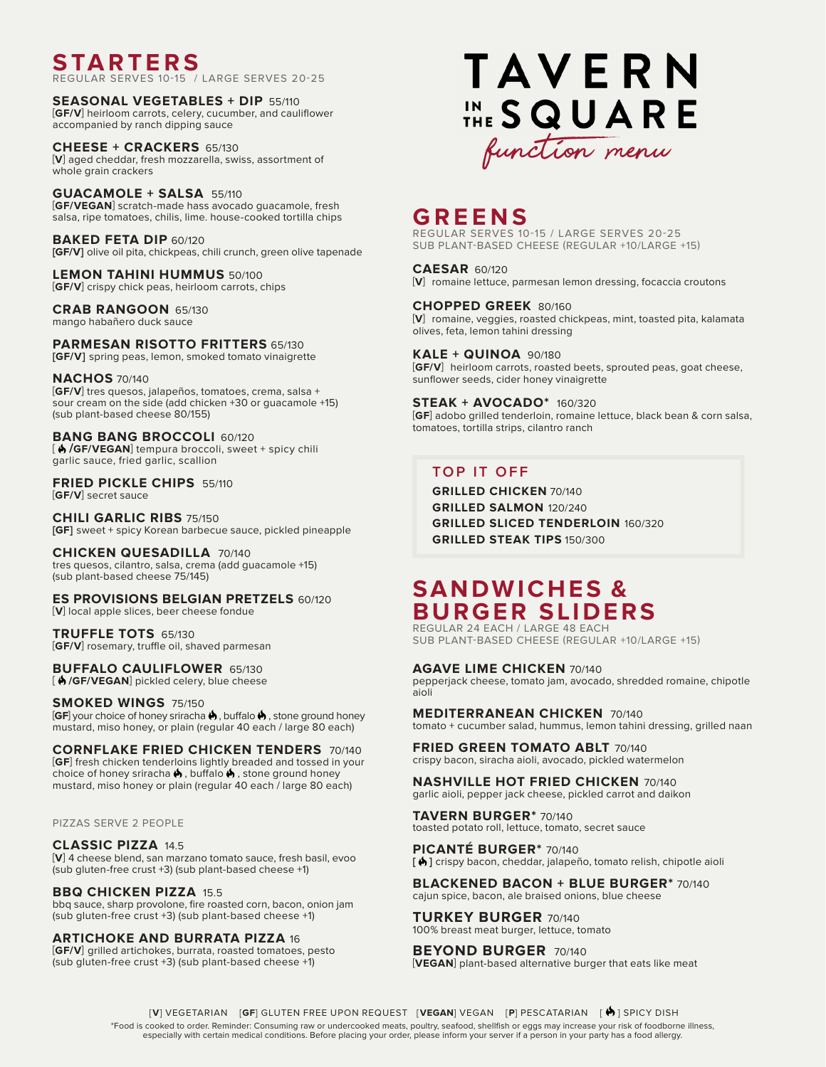**STARTERS**

REGULAR SERVES 10-15 / LARGE SERVES 20-25

**SEASONAL VEGETABLES + DIP** 55/110 [**GF/V**] heirloom carrots, celery, cucumber, and cauliflower accompanied by ranch dipping sauce

**CHEESE + CRACKERS** 65/130 [**V**] aged cheddar, fresh mozzarella, swiss, assortment of whole grain crackers

**GUACAMOLE + SALSA** 55/110 [**GF/VEGAN**] scratch-made hass avocado guacamole, fresh salsa, ripe tomatoes, chilis, lime. house-cooked tortilla chips

**BAKED FETA DIP** 60/120 **[GF/V]** olive oil pita, chickpeas, chili crunch, green olive tapenade

**LEMON TAHINI HUMMUS** 50/100 [**GF/V**] crispy chick peas, heirloom carrots, chips

**CRAB RANGOON** 65/130 mango habañero duck sauce

**PARMESAN RISOTTO FRITTERS** 65/130 **[GF/V]** spring peas, lemon, smoked tomato vinaigrette

### **NACHOS** 70/140

[**GF/V**] tres quesos, jalapeños, tomatoes, crema, salsa + sour cream on the side (add chicken +30 or guacamole +15) (sub plant-based cheese 80/155)

**BANG BANG BROCCOLI** 60/120 [ **/GF/VEGAN**] tempura broccoli, sweet + spicy chili garlic sauce, fried garlic, scallion

**FRIED PICKLE CHIPS** 55/110 [**GF/V**] secret sauce

**CHILI GARLIC RIBS** 75/150 **[GF]** sweet + spicy Korean barbecue sauce, pickled pineapple

**CHICKEN QUESADILLA** 70/140 tres quesos, cilantro, salsa, crema (add guacamole +15) (sub plant-based cheese 75/145)

**ES PROVISIONS BELGIAN PRETZELS** 60/120 [**V**] local apple slices, beer cheese fondue

**TRUFFLE TOTS** 65/130 [**GF/V**] rosemary, truffle oil, shaved parmesan

**BUFFALO CAULIFLOWER** 65/130 [ **/GF/VEGAN**] pickled celery, blue cheese

**SMOKED WINGS** 75/150 **[GF**] your choice of honey sriracha  $\bigstar$ , buffalo  $\bigstar$ , stone ground honey mustard, miso honey, or plain (regular 40 each / large 80 each)

**CORNFLAKE FRIED CHICKEN TENDERS** 70/140 [**GF**] fresh chicken tenderloins lightly breaded and tossed in your choice of honey sriracha  $\spadesuit$  , buffalo  $\spadesuit$  , stone ground honey mustard, miso honey or plain (regular 40 each / large 80 each)

PIZZAS SERVE 2 PEOPLE

**CLASSIC PIZZA** 14.5 [**V**] 4 cheese blend, san marzano tomato sauce, fresh basil, evoo (sub gluten-free crust +3) (sub plant-based cheese +1)

**BBQ CHICKEN PIZZA** 15.5 bbq sauce, sharp provolone, fire roasted corn, bacon, onion jam (sub gluten-free crust +3) (sub plant-based cheese +1)

**ARTICHOKE AND BURRATA PIZZA** 16 [**GF/V**] grilled artichokes, burrata, roasted tomatoes, pesto (sub gluten-free crust +3) (sub plant-based cheese +1)



# **GREENS**

REGULAR SERVES 10-15 / LARGE SERVES 20-25 SUB PLANT-BASED CHEESE (REGULAR +10/LARGE +15)

**CAESAR** 60/120 [**V**] romaine lettuce, parmesan lemon dressing, focaccia croutons

**CHOPPED GREEK** 80/160 [**V**] romaine, veggies, roasted chickpeas, mint, toasted pita, kalamata olives, feta, lemon tahini dressing

**KALE + QUINOA** 90/180 [**GF/V**] heirloom carrots, roasted beets, sprouted peas, goat cheese, sunflower seeds, cider honey vinaigrette

**STEAK + AVOCADO\*** 160/320 [**GF**] adobo grilled tenderloin, romaine lettuce, black bean & corn salsa, tomatoes, tortilla strips, cilantro ranch

### **TOP IT OFF**

**GRILLED CHICKEN** 70/140 **GRILLED SALMON** 120/240 **GRILLED SLICED TENDERLOIN** 160/320 **GRILLED STEAK TIPS** 150/300

# **SANDWICHES & BURGER SLIDERS**

REGULAR 24 EACH / LARGE 48 EACH SUB PLANT-BASED CHEESE (REGULAR +10/LARGE +15)

**AGAVE LIME CHICKEN** 70/140 pepperjack cheese, tomato jam, avocado, shredded romaine, chipotle aioli

**MEDITERRANEAN CHICKEN** 70/140 tomato + cucumber salad, hummus, lemon tahini dressing, grilled naan

**FRIED GREEN TOMATO ABLT** 70/140 crispy bacon, siracha aioli, avocado, pickled watermelon

**NASHVILLE HOT FRIED CHICKEN** 70/140 garlic aioli, pepper jack cheese, pickled carrot and daikon

**TAVERN BURGER\*** 70/140 toasted potato roll, lettuce, tomato, secret sauce

**PICANTÉ BURGER\*** 70/140 **[ ]** crispy bacon, cheddar, jalapeño, tomato relish, chipotle aioli

**BLACKENED BACON + BLUE BURGER\*** 70/140 cajun spice, bacon, ale braised onions, blue cheese

**TURKEY BURGER** 70/140 100% breast meat burger, lettuce, tomato

**BEYOND BURGER** 70/140 [**VEGAN**] plant-based alternative burger that eats like meat